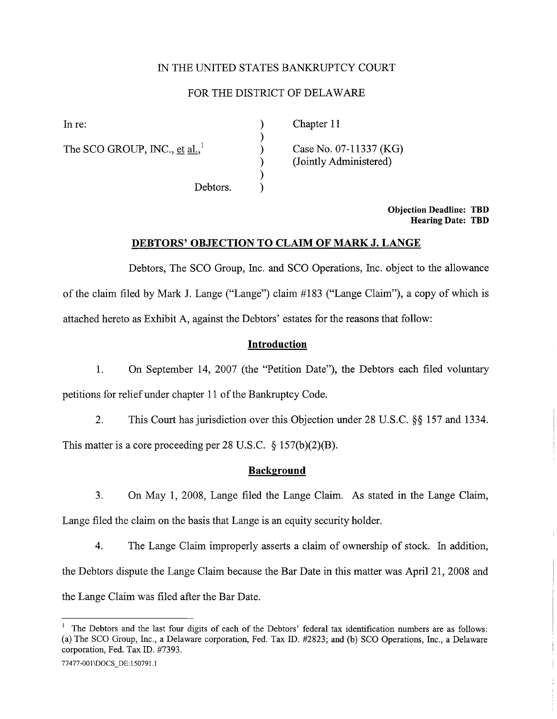## IN THE UNITED STATES BANKRUPTCY COURT

## FOR THE DISTRICT OF DELAWAR

) ) ) ) ) )

The SCO GROUP, INC., et al., $^1$ 

In re: (a) Chapter 11

Case No. 07-11337 (KG) (Jointly Administered)

Debtors.

Objection Deadline: TBD Hearing Date: TBD

#### DEBTORS' OBJECTION TO CLAIM OF MARK J. LANGE

Debtors, The SCO Group, Inc. and SCO Operations, Inc. object to the allowance of the claim fied by Mark J. Lange ("Lange") claim # 183 ("Lange Claim"), a copy of which is attached hereto as Exhibit A, against the Debtors' estates for the reasons that follow:

#### Introduction

1. On September 14, 2007 (the "Petition Date"), the Debtors each fied voluntary petitions for relief under chapter 11 of the Bankruptcy Code.

2. This Court has jurisdiction over this Objection under 28 U.S.C. §§ 157 and 1334. This matter is a core proceeding per 28 U.S.C.  $\S 157(b)(2)(B)$ .

#### **Background**

3. On May 1, 2008, Lange filed the Lange Claim. As stated in the Lange Claim, Lange filed the claim on the basis that Lange is an equity security holder.

4. The Lange Claim improperly asserts a claim of ownership of stock. In addition, the Debtors dispute the Lange Claim because the Bar Date in this matter was April 21, 2008 and the Lange Claim was fied after the Bar Date.

```
77477-001 \DOCS_DE:150791.1
```
The Debtors and the last four digits of each of the Debtors' federal tax identification numbers are as follows: (a) The SCO Group, Inc., a Delaware corporation, Fed. Tax ID. #2823; and (b) SCO Operations, Inc., a Delaware corporation, Fed. Tax ID. #7393.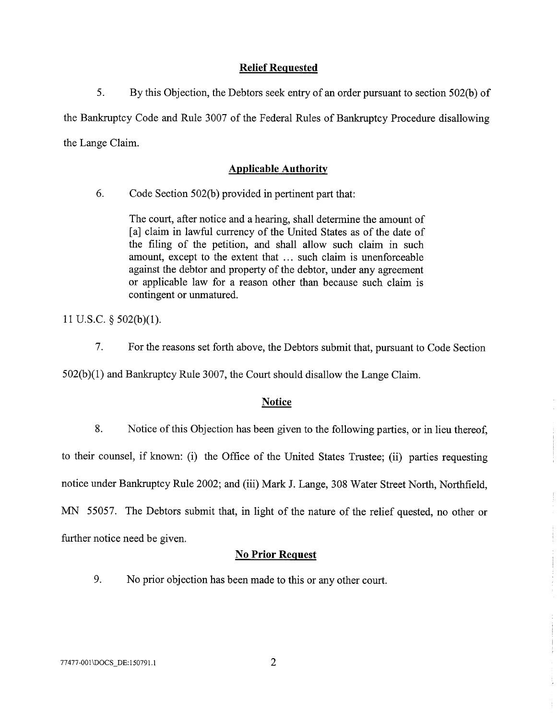# Relief Requested

5. By this Objection, the Debtors seek entry of an order pursuant to section 502(b) of the Bankruptcy Code and Rule 3007 of the Federal Rules of Bankruptcy Procedure disallowing the Lange Claim.

# Applicable Authority

6. Code Section 502(b) provided in pertinent part that:

The court, after notice and a hearing, shall determine the amount of [a] claim in lawful currency of the United States as of the date of the filing of the petition, and shall allow such claim in such amount, except to the extent that ... such claim is unenforceable against the debtor and property of the debtor, under any agreement or applicable law for a reason other than because such claim is contingent or unmatured.

11 U.S.C.  $\S$  502(b)(1).

7. For the reasons set forth above, the Debtors submit that, pursuant to Code Section

 $502(b)(1)$  and Bankruptcy Rule 3007, the Court should disallow the Lange Claim.

## **Notice**

8. Notice of this Objection has been given to the following paries, or in lieu thereof,

to their counsel, if known: (i) the Office of the United States Trustee; (ii) parties requesting

notice under Bankruptcy Rule 2002; and (iii) Mark J. Lange, 308 Water Street North, Northfield,

MN 55057. The Debtors submit that, in light of the nature of the relief quested, no other or

further notice need be given.

## No Prior Request

9. No prior objection has been made to this or any other cour.